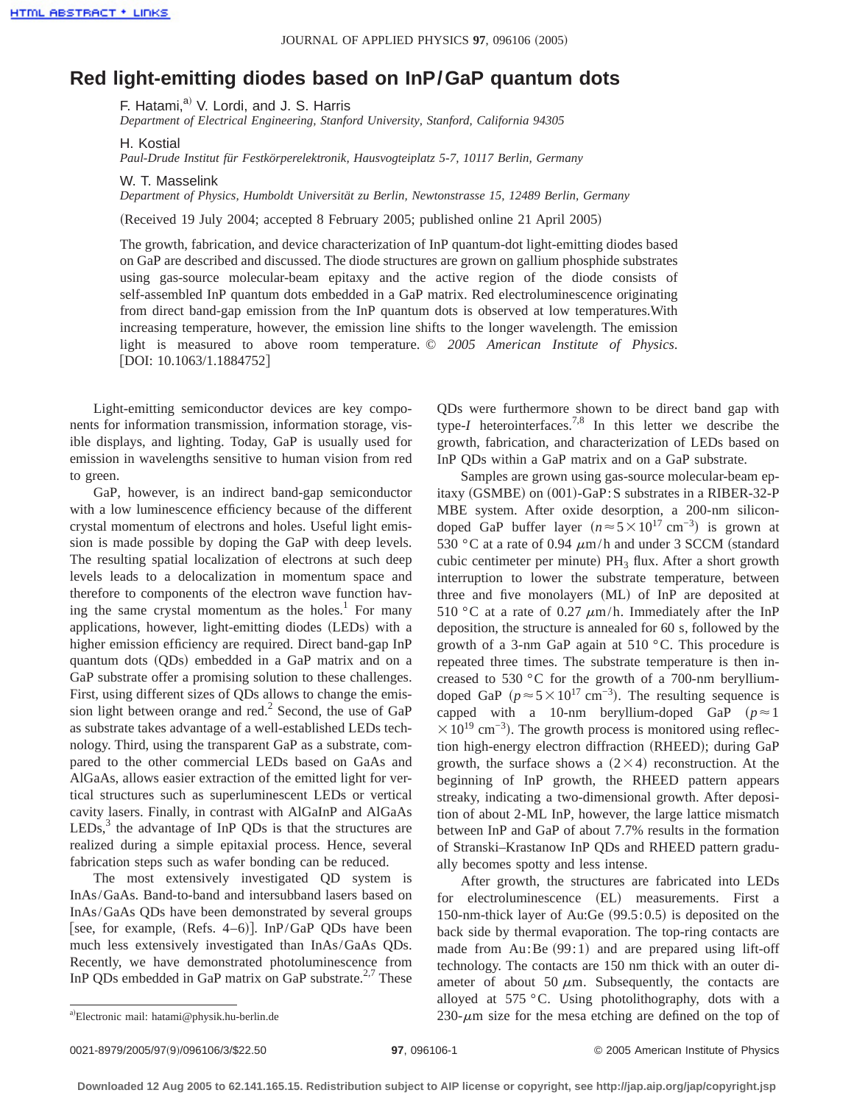## **Red light-emitting diodes based on InP/GaP quantum dots**

F. Hatami,<sup>a)</sup> V. Lordi, and J. S. Harris

*Department of Electrical Engineering, Stanford University, Stanford, California 94305*

H. Kostial

*Paul-Drude Institut für Festkörperelektronik, Hausvogteiplatz 5-7, 10117 Berlin, Germany*

W. T. Masselink *Department of Physics, Humboldt Universität zu Berlin, Newtonstrasse 15, 12489 Berlin, Germany*

(Received 19 July 2004; accepted 8 February 2005; published online 21 April 2005)

The growth, fabrication, and device characterization of InP quantum-dot light-emitting diodes based on GaP are described and discussed. The diode structures are grown on gallium phosphide substrates using gas-source molecular-beam epitaxy and the active region of the diode consists of self-assembled InP quantum dots embedded in a GaP matrix. Red electroluminescence originating from direct band-gap emission from the InP quantum dots is observed at low temperatures.With increasing temperature, however, the emission line shifts to the longer wavelength. The emission light is measured to above room temperature. © *2005 American Institute of Physics*.  $[$ DOI: 10.1063/1.1884752 $]$ 

Light-emitting semiconductor devices are key components for information transmission, information storage, visible displays, and lighting. Today, GaP is usually used for emission in wavelengths sensitive to human vision from red to green.

GaP, however, is an indirect band-gap semiconductor with a low luminescence efficiency because of the different crystal momentum of electrons and holes. Useful light emission is made possible by doping the GaP with deep levels. The resulting spatial localization of electrons at such deep levels leads to a delocalization in momentum space and therefore to components of the electron wave function having the same crystal momentum as the holes.<sup>1</sup> For many applications, however, light-emitting diodes (LEDs) with a higher emission efficiency are required. Direct band-gap InP quantum dots (QDs) embedded in a GaP matrix and on a GaP substrate offer a promising solution to these challenges. First, using different sizes of QDs allows to change the emission light between orange and red.<sup>2</sup> Second, the use of  $GaP$ as substrate takes advantage of a well-established LEDs technology. Third, using the transparent GaP as a substrate, compared to the other commercial LEDs based on GaAs and AlGaAs, allows easier extraction of the emitted light for vertical structures such as superluminescent LEDs or vertical cavity lasers. Finally, in contrast with AlGaInP and AlGaAs  $LEDs<sub>3</sub><sup>3</sup>$  the advantage of InP QDs is that the structures are realized during a simple epitaxial process. Hence, several fabrication steps such as wafer bonding can be reduced.

The most extensively investigated QD system is InAs/GaAs. Band-to-band and intersubband lasers based on InAs/GaAs QDs have been demonstrated by several groups [see, for example, (Refs. 4–6)]. InP/GaP QDs have been much less extensively investigated than InAs/GaAs QDs. Recently, we have demonstrated photoluminescence from InP QDs embedded in GaP matrix on GaP substrate.<sup>2,7</sup> These

QDs were furthermore shown to be direct band gap with type-*I* heterointerfaces.<sup>7,8</sup> In this letter we describe the growth, fabrication, and characterization of LEDs based on InP QDs within a GaP matrix and on a GaP substrate.

Samples are grown using gas-source molecular-beam epitaxy (GSMBE) on  $(001)$ -GaP:S substrates in a RIBER-32-P MBE system. After oxide desorption, a 200-nm silicondoped GaP buffer layer  $(n \approx 5 \times 10^{17} \text{ cm}^{-3})$  is grown at 530 °C at a rate of 0.94  $\mu$ m/h and under 3 SCCM (standard cubic centimeter per minute)  $PH_3$  flux. After a short growth interruption to lower the substrate temperature, between three and five monolayers (ML) of InP are deposited at 510 °C at a rate of 0.27  $\mu$ m/h. Immediately after the InP deposition, the structure is annealed for 60 s, followed by the growth of a 3-nm GaP again at 510 °C. This procedure is repeated three times. The substrate temperature is then increased to 530 °C for the growth of a 700-nm berylliumdoped GaP ( $p \approx 5 \times 10^{17}$  cm<sup>-3</sup>). The resulting sequence is capped with a 10-nm beryllium-doped GaP  $(p \approx 1)$  $\times$  10<sup>19</sup> cm<sup>-3</sup>). The growth process is monitored using reflection high-energy electron diffraction (RHEED); during GaP growth, the surface shows a  $(2\times4)$  reconstruction. At the beginning of InP growth, the RHEED pattern appears streaky, indicating a two-dimensional growth. After deposition of about 2-ML InP, however, the large lattice mismatch between InP and GaP of about 7.7% results in the formation of Stranski–Krastanow InP QDs and RHEED pattern gradually becomes spotty and less intense.

After growth, the structures are fabricated into LEDs for electroluminescence (EL) measurements. First a 150-nm-thick layer of Au:Ge  $(99.5:0.5)$  is deposited on the back side by thermal evaporation. The top-ring contacts are made from Au:Be  $(99:1)$  and are prepared using lift-off technology. The contacts are 150 nm thick with an outer diameter of about 50  $\mu$ m. Subsequently, the contacts are alloyed at 575 °C. Using photolithography, dots with a  $230-\mu m$  size for the mesa etching are defined on the top of

a)Electronic mail: hatami@physik.hu-berlin.de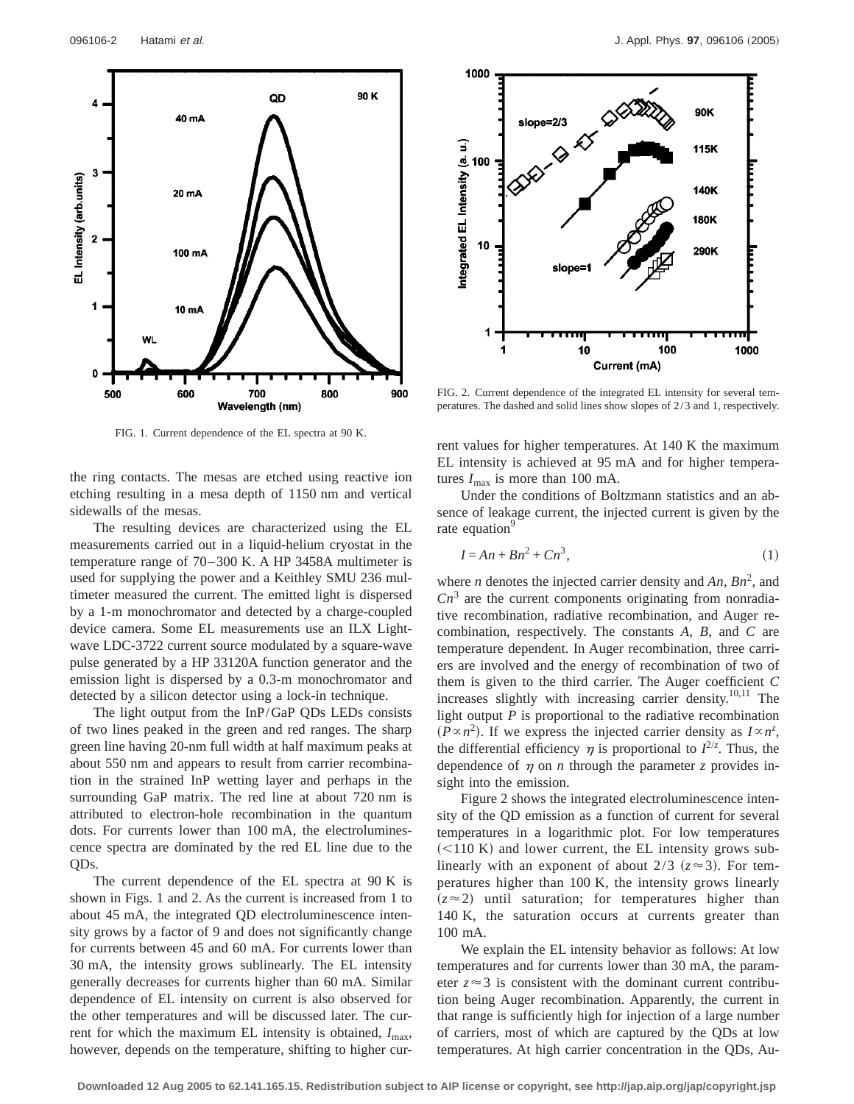

FIG. 1. Current dependence of the EL spectra at 90 K.

the ring contacts. The mesas are etched using reactive ion etching resulting in a mesa depth of 1150 nm and vertical sidewalls of the mesas.

The resulting devices are characterized using the EL measurements carried out in a liquid-helium cryostat in the temperature range of 70–300 K. A HP 3458A multimeter is used for supplying the power and a Keithley SMU 236 multimeter measured the current. The emitted light is dispersed by a 1-m monochromator and detected by a charge-coupled device camera. Some EL measurements use an ILX Lightwave LDC-3722 current source modulated by a square-wave pulse generated by a HP 33120A function generator and the emission light is dispersed by a 0.3-m monochromator and detected by a silicon detector using a lock-in technique.

The light output from the InP/GaP QDs LEDs consists of two lines peaked in the green and red ranges. The sharp green line having 20-nm full width at half maximum peaks at about 550 nm and appears to result from carrier recombination in the strained InP wetting layer and perhaps in the surrounding GaP matrix. The red line at about 720 nm is attributed to electron-hole recombination in the quantum dots. For currents lower than 100 mA, the electroluminescence spectra are dominated by the red EL line due to the QDs.

The current dependence of the EL spectra at 90 K is shown in Figs. 1 and 2. As the current is increased from 1 to about 45 mA, the integrated QD electroluminescence intensity grows by a factor of 9 and does not significantly change for currents between 45 and 60 mA. For currents lower than 30 mA, the intensity grows sublinearly. The EL intensity generally decreases for currents higher than 60 mA. Similar dependence of EL intensity on current is also observed for the other temperatures and will be discussed later. The current for which the maximum EL intensity is obtained,  $I_{\text{max}}$ , however, depends on the temperature, shifting to higher cur-



FIG. 2. Current dependence of the integrated EL intensity for several temperatures. The dashed and solid lines show slopes of 2/3 and 1, respectively.

rent values for higher temperatures. At 140 K the maximum EL intensity is achieved at 95 mA and for higher temperatures  $I_{\text{max}}$  is more than 100 mA.

Under the conditions of Boltzmann statistics and an absence of leakage current, the injected current is given by the rate equation<sup>9</sup>

$$
I = An + Bn^2 + Cn^3,
$$
\n<sup>(1)</sup>

where *n* denotes the injected carrier density and  $An, Bn^2$ , and  $Cn<sup>3</sup>$  are the current components originating from nonradiative recombination, radiative recombination, and Auger recombination, respectively. The constants *A*, *B*, and *C* are temperature dependent. In Auger recombination, three carriers are involved and the energy of recombination of two of them is given to the third carrier. The Auger coefficient *C* increases slightly with increasing carrier density.<sup>10,11</sup> The light output *P* is proportional to the radiative recombination  $(P \propto n^2)$ . If we express the injected carrier density as  $I \propto n^z$ , the differential efficiency  $\eta$  is proportional to  $I^{2/z}$ . Thus, the dependence of  $\eta$  on *n* through the parameter *z* provides insight into the emission.

Figure 2 shows the integrated electroluminescence intensity of the QD emission as a function of current for several temperatures in a logarithmic plot. For low temperatures  $\approx$  110 K) and lower current, the EL intensity grows sublinearly with an exponent of about  $2/3$  ( $z \approx 3$ ). For temperatures higher than 100 K, the intensity grows linearly  $(z \approx 2)$  until saturation; for temperatures higher than 140 K, the saturation occurs at currents greater than 100 mA.

We explain the EL intensity behavior as follows: At low temperatures and for currents lower than 30 mA, the parameter  $z \approx 3$  is consistent with the dominant current contribution being Auger recombination. Apparently, the current in that range is sufficiently high for injection of a large number of carriers, most of which are captured by the QDs at low temperatures. At high carrier concentration in the QDs, Au-